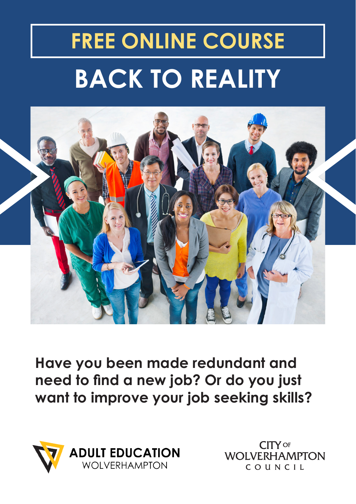# **BACK TO REALITY FREE ONLINE COURSE**



**Have you been made redundant and need to find a new job? Or do you just want to improve your job seeking skills?** 



**CITY OF WOLVERHAMPTON** COUNCIL